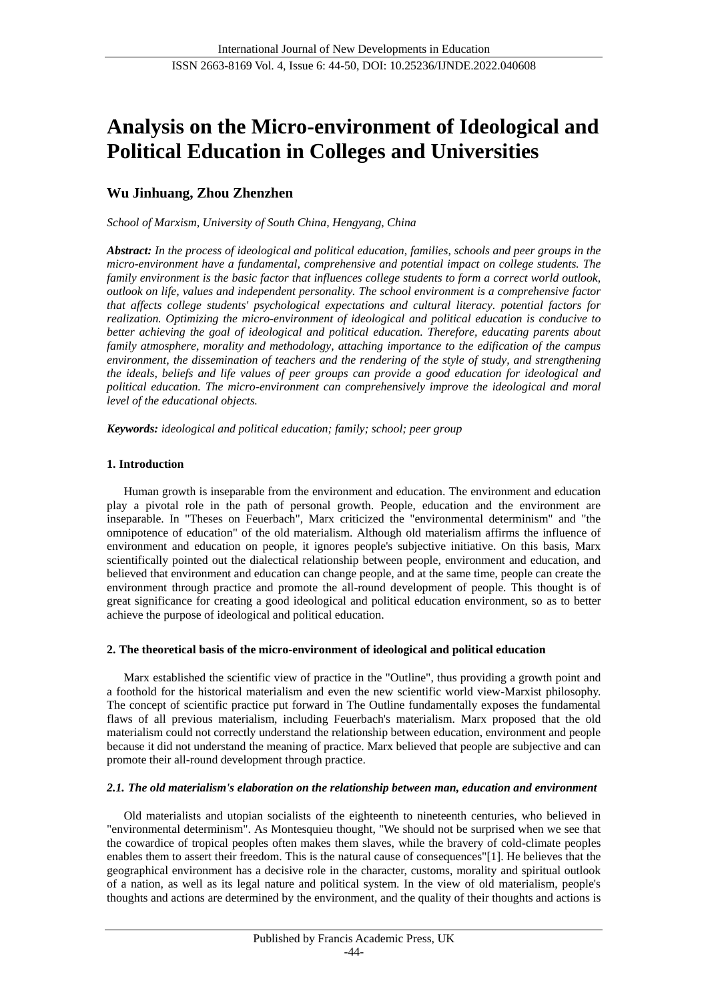# **Analysis on the Micro-environment of Ideological and Political Education in Colleges and Universities**

# **Wu Jinhuang, Zhou Zhenzhen**

*School of Marxism, University of South China, Hengyang, China*

*Abstract: In the process of ideological and political education, families, schools and peer groups in the micro-environment have a fundamental, comprehensive and potential impact on college students. The family environment is the basic factor that influences college students to form a correct world outlook, outlook on life, values and independent personality. The school environment is a comprehensive factor that affects college students' psychological expectations and cultural literacy. potential factors for realization. Optimizing the micro-environment of ideological and political education is conducive to better achieving the goal of ideological and political education. Therefore, educating parents about family atmosphere, morality and methodology, attaching importance to the edification of the campus environment, the dissemination of teachers and the rendering of the style of study, and strengthening the ideals, beliefs and life values of peer groups can provide a good education for ideological and political education. The micro-environment can comprehensively improve the ideological and moral level of the educational objects.*

*Keywords: ideological and political education; family; school; peer group*

# **1. Introduction**

Human growth is inseparable from the environment and education. The environment and education play a pivotal role in the path of personal growth. People, education and the environment are inseparable. In "Theses on Feuerbach", Marx criticized the "environmental determinism" and "the omnipotence of education" of the old materialism. Although old materialism affirms the influence of environment and education on people, it ignores people's subjective initiative. On this basis, Marx scientifically pointed out the dialectical relationship between people, environment and education, and believed that environment and education can change people, and at the same time, people can create the environment through practice and promote the all-round development of people. This thought is of great significance for creating a good ideological and political education environment, so as to better achieve the purpose of ideological and political education.

## **2. The theoretical basis of the micro-environment of ideological and political education**

Marx established the scientific view of practice in the "Outline", thus providing a growth point and a foothold for the historical materialism and even the new scientific world view-Marxist philosophy. The concept of scientific practice put forward in The Outline fundamentally exposes the fundamental flaws of all previous materialism, including Feuerbach's materialism. Marx proposed that the old materialism could not correctly understand the relationship between education, environment and people because it did not understand the meaning of practice. Marx believed that people are subjective and can promote their all-round development through practice.

# *2.1. The old materialism's elaboration on the relationship between man, education and environment*

Old materialists and utopian socialists of the eighteenth to nineteenth centuries, who believed in "environmental determinism". As Montesquieu thought, "We should not be surprised when we see that the cowardice of tropical peoples often makes them slaves, while the bravery of cold-climate peoples enables them to assert their freedom. This is the natural cause of consequences"[1]. He believes that the geographical environment has a decisive role in the character, customs, morality and spiritual outlook of a nation, as well as its legal nature and political system. In the view of old materialism, people's thoughts and actions are determined by the environment, and the quality of their thoughts and actions is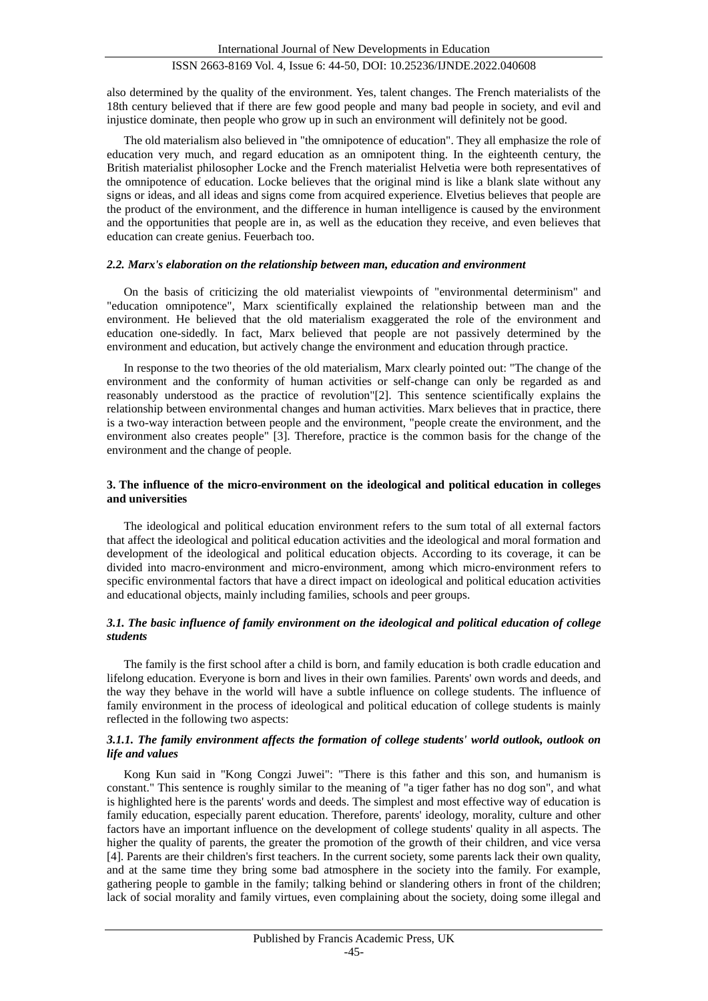also determined by the quality of the environment. Yes, talent changes. The French materialists of the 18th century believed that if there are few good people and many bad people in society, and evil and injustice dominate, then people who grow up in such an environment will definitely not be good.

The old materialism also believed in "the omnipotence of education". They all emphasize the role of education very much, and regard education as an omnipotent thing. In the eighteenth century, the British materialist philosopher Locke and the French materialist Helvetia were both representatives of the omnipotence of education. Locke believes that the original mind is like a blank slate without any signs or ideas, and all ideas and signs come from acquired experience. Elvetius believes that people are the product of the environment, and the difference in human intelligence is caused by the environment and the opportunities that people are in, as well as the education they receive, and even believes that education can create genius. Feuerbach too.

#### *2.2. Marx's elaboration on the relationship between man, education and environment*

On the basis of criticizing the old materialist viewpoints of "environmental determinism" and "education omnipotence", Marx scientifically explained the relationship between man and the environment. He believed that the old materialism exaggerated the role of the environment and education one-sidedly. In fact, Marx believed that people are not passively determined by the environment and education, but actively change the environment and education through practice.

In response to the two theories of the old materialism, Marx clearly pointed out: "The change of the environment and the conformity of human activities or self-change can only be regarded as and reasonably understood as the practice of revolution"[2]. This sentence scientifically explains the relationship between environmental changes and human activities. Marx believes that in practice, there is a two-way interaction between people and the environment, "people create the environment, and the environment also creates people" [3]. Therefore, practice is the common basis for the change of the environment and the change of people.

#### **3. The influence of the micro-environment on the ideological and political education in colleges and universities**

The ideological and political education environment refers to the sum total of all external factors that affect the ideological and political education activities and the ideological and moral formation and development of the ideological and political education objects. According to its coverage, it can be divided into macro-environment and micro-environment, among which micro-environment refers to specific environmental factors that have a direct impact on ideological and political education activities and educational objects, mainly including families, schools and peer groups.

## *3.1. The basic influence of family environment on the ideological and political education of college students*

The family is the first school after a child is born, and family education is both cradle education and lifelong education. Everyone is born and lives in their own families. Parents' own words and deeds, and the way they behave in the world will have a subtle influence on college students. The influence of family environment in the process of ideological and political education of college students is mainly reflected in the following two aspects:

## *3.1.1. The family environment affects the formation of college students' world outlook, outlook on life and values*

Kong Kun said in "Kong Congzi Juwei": "There is this father and this son, and humanism is constant." This sentence is roughly similar to the meaning of "a tiger father has no dog son", and what is highlighted here is the parents' words and deeds. The simplest and most effective way of education is family education, especially parent education. Therefore, parents' ideology, morality, culture and other factors have an important influence on the development of college students' quality in all aspects. The higher the quality of parents, the greater the promotion of the growth of their children, and vice versa [4]. Parents are their children's first teachers. In the current society, some parents lack their own quality, and at the same time they bring some bad atmosphere in the society into the family. For example, gathering people to gamble in the family; talking behind or slandering others in front of the children; lack of social morality and family virtues, even complaining about the society, doing some illegal and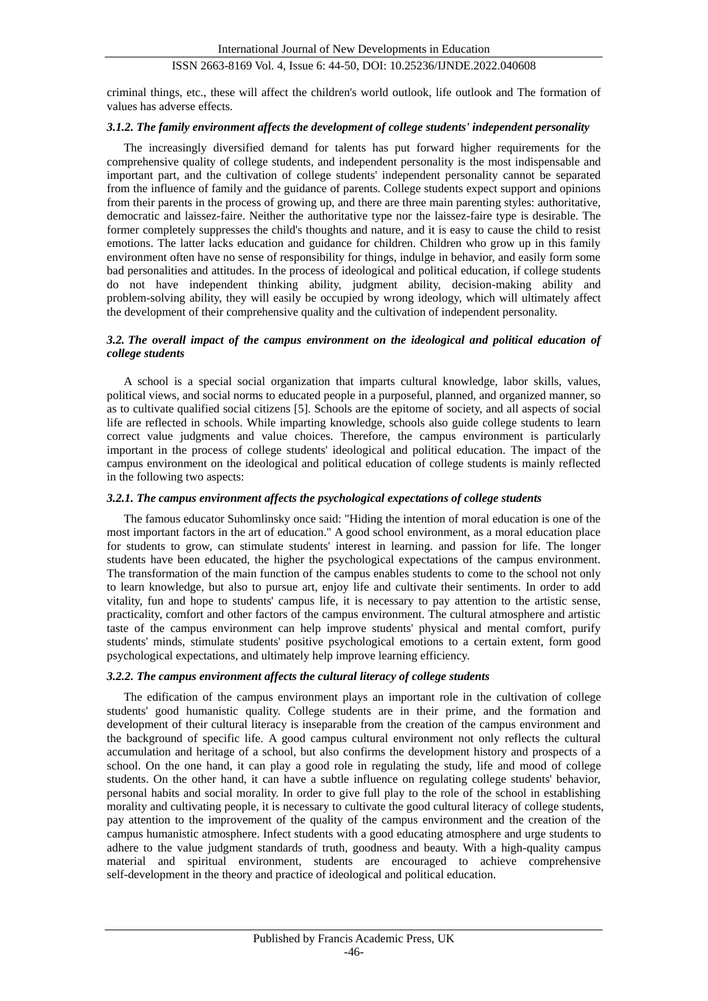criminal things, etc., these will affect the children's world outlook, life outlook and The formation of values has adverse effects.

#### *3.1.2. The family environment affects the development of college students' independent personality*

The increasingly diversified demand for talents has put forward higher requirements for the comprehensive quality of college students, and independent personality is the most indispensable and important part, and the cultivation of college students' independent personality cannot be separated from the influence of family and the guidance of parents. College students expect support and opinions from their parents in the process of growing up, and there are three main parenting styles: authoritative, democratic and laissez-faire. Neither the authoritative type nor the laissez-faire type is desirable. The former completely suppresses the child's thoughts and nature, and it is easy to cause the child to resist emotions. The latter lacks education and guidance for children. Children who grow up in this family environment often have no sense of responsibility for things, indulge in behavior, and easily form some bad personalities and attitudes. In the process of ideological and political education, if college students do not have independent thinking ability, judgment ability, decision-making ability and problem-solving ability, they will easily be occupied by wrong ideology, which will ultimately affect the development of their comprehensive quality and the cultivation of independent personality.

#### *3.2. The overall impact of the campus environment on the ideological and political education of college students*

A school is a special social organization that imparts cultural knowledge, labor skills, values, political views, and social norms to educated people in a purposeful, planned, and organized manner, so as to cultivate qualified social citizens [5]. Schools are the epitome of society, and all aspects of social life are reflected in schools. While imparting knowledge, schools also guide college students to learn correct value judgments and value choices. Therefore, the campus environment is particularly important in the process of college students' ideological and political education. The impact of the campus environment on the ideological and political education of college students is mainly reflected in the following two aspects:

#### *3.2.1. The campus environment affects the psychological expectations of college students*

The famous educator Suhomlinsky once said: "Hiding the intention of moral education is one of the most important factors in the art of education." A good school environment, as a moral education place for students to grow, can stimulate students' interest in learning. and passion for life. The longer students have been educated, the higher the psychological expectations of the campus environment. The transformation of the main function of the campus enables students to come to the school not only to learn knowledge, but also to pursue art, enjoy life and cultivate their sentiments. In order to add vitality, fun and hope to students' campus life, it is necessary to pay attention to the artistic sense, practicality, comfort and other factors of the campus environment. The cultural atmosphere and artistic taste of the campus environment can help improve students' physical and mental comfort, purify students' minds, stimulate students' positive psychological emotions to a certain extent, form good psychological expectations, and ultimately help improve learning efficiency.

## *3.2.2. The campus environment affects the cultural literacy of college students*

The edification of the campus environment plays an important role in the cultivation of college students' good humanistic quality. College students are in their prime, and the formation and development of their cultural literacy is inseparable from the creation of the campus environment and the background of specific life. A good campus cultural environment not only reflects the cultural accumulation and heritage of a school, but also confirms the development history and prospects of a school. On the one hand, it can play a good role in regulating the study, life and mood of college students. On the other hand, it can have a subtle influence on regulating college students' behavior, personal habits and social morality. In order to give full play to the role of the school in establishing morality and cultivating people, it is necessary to cultivate the good cultural literacy of college students, pay attention to the improvement of the quality of the campus environment and the creation of the campus humanistic atmosphere. Infect students with a good educating atmosphere and urge students to adhere to the value judgment standards of truth, goodness and beauty. With a high-quality campus material and spiritual environment, students are encouraged to achieve comprehensive self-development in the theory and practice of ideological and political education.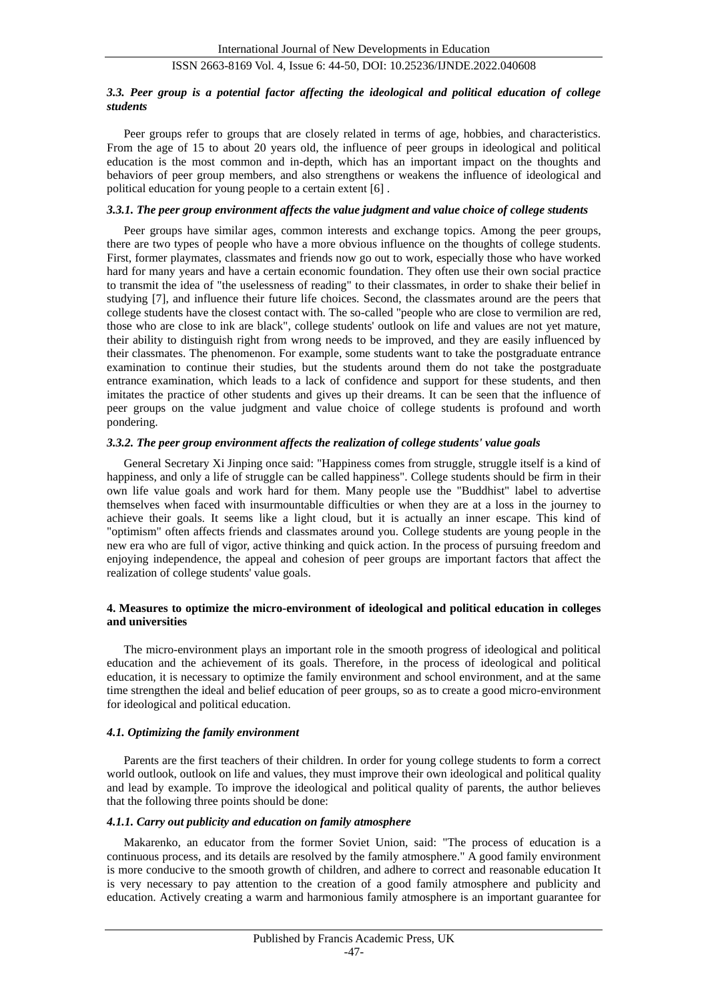#### *3.3. Peer group is a potential factor affecting the ideological and political education of college students*

Peer groups refer to groups that are closely related in terms of age, hobbies, and characteristics. From the age of 15 to about 20 years old, the influence of peer groups in ideological and political education is the most common and in-depth, which has an important impact on the thoughts and behaviors of peer group members, and also strengthens or weakens the influence of ideological and political education for young people to a certain extent [6] .

#### *3.3.1. The peer group environment affects the value judgment and value choice of college students*

Peer groups have similar ages, common interests and exchange topics. Among the peer groups, there are two types of people who have a more obvious influence on the thoughts of college students. First, former playmates, classmates and friends now go out to work, especially those who have worked hard for many years and have a certain economic foundation. They often use their own social practice to transmit the idea of "the uselessness of reading" to their classmates, in order to shake their belief in studying [7], and influence their future life choices. Second, the classmates around are the peers that college students have the closest contact with. The so-called "people who are close to vermilion are red, those who are close to ink are black", college students' outlook on life and values are not yet mature, their ability to distinguish right from wrong needs to be improved, and they are easily influenced by their classmates. The phenomenon. For example, some students want to take the postgraduate entrance examination to continue their studies, but the students around them do not take the postgraduate entrance examination, which leads to a lack of confidence and support for these students, and then imitates the practice of other students and gives up their dreams. It can be seen that the influence of peer groups on the value judgment and value choice of college students is profound and worth pondering.

#### *3.3.2. The peer group environment affects the realization of college students' value goals*

General Secretary Xi Jinping once said: "Happiness comes from struggle, struggle itself is a kind of happiness, and only a life of struggle can be called happiness". College students should be firm in their own life value goals and work hard for them. Many people use the "Buddhist" label to advertise themselves when faced with insurmountable difficulties or when they are at a loss in the journey to achieve their goals. It seems like a light cloud, but it is actually an inner escape. This kind of "optimism" often affects friends and classmates around you. College students are young people in the new era who are full of vigor, active thinking and quick action. In the process of pursuing freedom and enjoying independence, the appeal and cohesion of peer groups are important factors that affect the realization of college students' value goals.

## **4. Measures to optimize the micro-environment of ideological and political education in colleges and universities**

The micro-environment plays an important role in the smooth progress of ideological and political education and the achievement of its goals. Therefore, in the process of ideological and political education, it is necessary to optimize the family environment and school environment, and at the same time strengthen the ideal and belief education of peer groups, so as to create a good micro-environment for ideological and political education.

#### *4.1. Optimizing the family environment*

Parents are the first teachers of their children. In order for young college students to form a correct world outlook, outlook on life and values, they must improve their own ideological and political quality and lead by example. To improve the ideological and political quality of parents, the author believes that the following three points should be done:

#### *4.1.1. Carry out publicity and education on family atmosphere*

Makarenko, an educator from the former Soviet Union, said: "The process of education is a continuous process, and its details are resolved by the family atmosphere." A good family environment is more conducive to the smooth growth of children, and adhere to correct and reasonable education It is very necessary to pay attention to the creation of a good family atmosphere and publicity and education. Actively creating a warm and harmonious family atmosphere is an important guarantee for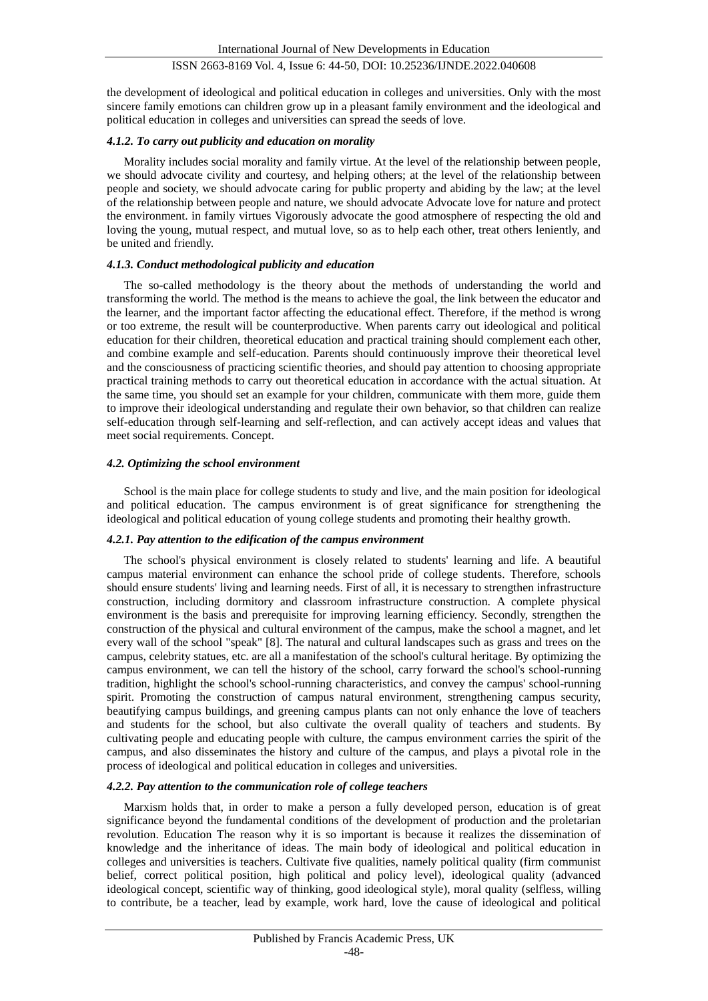the development of ideological and political education in colleges and universities. Only with the most sincere family emotions can children grow up in a pleasant family environment and the ideological and political education in colleges and universities can spread the seeds of love.

#### *4.1.2. To carry out publicity and education on morality*

Morality includes social morality and family virtue. At the level of the relationship between people, we should advocate civility and courtesy, and helping others; at the level of the relationship between people and society, we should advocate caring for public property and abiding by the law; at the level of the relationship between people and nature, we should advocate Advocate love for nature and protect the environment. in family virtues Vigorously advocate the good atmosphere of respecting the old and loving the young, mutual respect, and mutual love, so as to help each other, treat others leniently, and be united and friendly.

#### *4.1.3. Conduct methodological publicity and education*

The so-called methodology is the theory about the methods of understanding the world and transforming the world. The method is the means to achieve the goal, the link between the educator and the learner, and the important factor affecting the educational effect. Therefore, if the method is wrong or too extreme, the result will be counterproductive. When parents carry out ideological and political education for their children, theoretical education and practical training should complement each other, and combine example and self-education. Parents should continuously improve their theoretical level and the consciousness of practicing scientific theories, and should pay attention to choosing appropriate practical training methods to carry out theoretical education in accordance with the actual situation. At the same time, you should set an example for your children, communicate with them more, guide them to improve their ideological understanding and regulate their own behavior, so that children can realize self-education through self-learning and self-reflection, and can actively accept ideas and values that meet social requirements. Concept.

#### *4.2. Optimizing the school environment*

School is the main place for college students to study and live, and the main position for ideological and political education. The campus environment is of great significance for strengthening the ideological and political education of young college students and promoting their healthy growth.

#### *4.2.1. Pay attention to the edification of the campus environment*

The school's physical environment is closely related to students' learning and life. A beautiful campus material environment can enhance the school pride of college students. Therefore, schools should ensure students' living and learning needs. First of all, it is necessary to strengthen infrastructure construction, including dormitory and classroom infrastructure construction. A complete physical environment is the basis and prerequisite for improving learning efficiency. Secondly, strengthen the construction of the physical and cultural environment of the campus, make the school a magnet, and let every wall of the school "speak" [8]. The natural and cultural landscapes such as grass and trees on the campus, celebrity statues, etc. are all a manifestation of the school's cultural heritage. By optimizing the campus environment, we can tell the history of the school, carry forward the school's school-running tradition, highlight the school's school-running characteristics, and convey the campus' school-running spirit. Promoting the construction of campus natural environment, strengthening campus security, beautifying campus buildings, and greening campus plants can not only enhance the love of teachers and students for the school, but also cultivate the overall quality of teachers and students. By cultivating people and educating people with culture, the campus environment carries the spirit of the campus, and also disseminates the history and culture of the campus, and plays a pivotal role in the process of ideological and political education in colleges and universities.

#### *4.2.2. Pay attention to the communication role of college teachers*

Marxism holds that, in order to make a person a fully developed person, education is of great significance beyond the fundamental conditions of the development of production and the proletarian revolution. Education The reason why it is so important is because it realizes the dissemination of knowledge and the inheritance of ideas. The main body of ideological and political education in colleges and universities is teachers. Cultivate five qualities, namely political quality (firm communist belief, correct political position, high political and policy level), ideological quality (advanced ideological concept, scientific way of thinking, good ideological style), moral quality (selfless, willing to contribute, be a teacher, lead by example, work hard, love the cause of ideological and political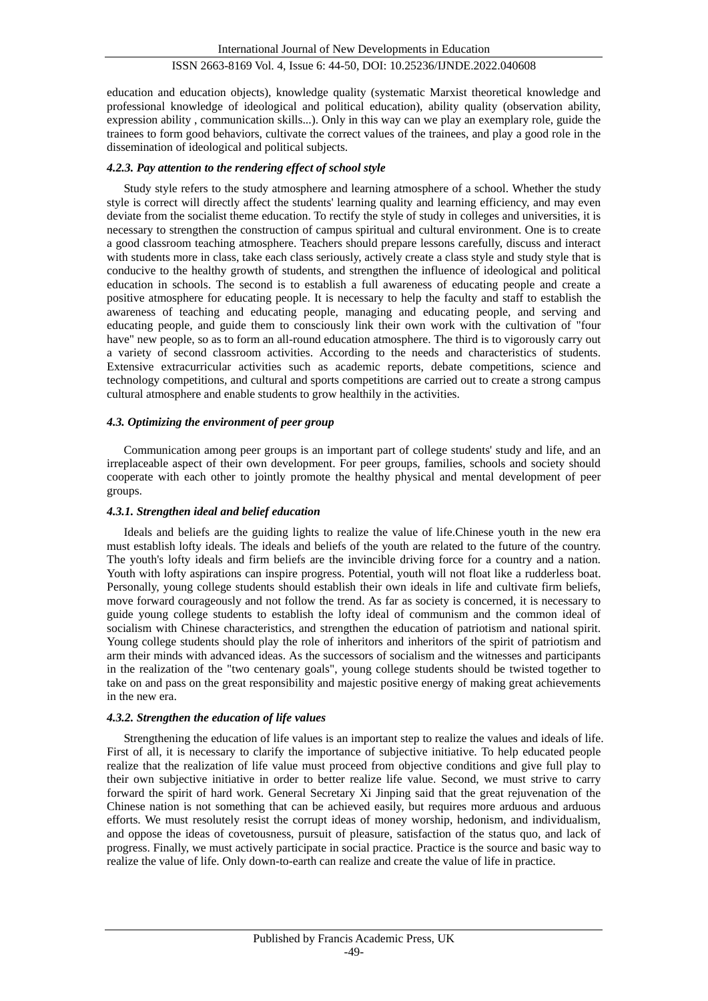education and education objects), knowledge quality (systematic Marxist theoretical knowledge and professional knowledge of ideological and political education), ability quality (observation ability, expression ability , communication skills...). Only in this way can we play an exemplary role, guide the trainees to form good behaviors, cultivate the correct values of the trainees, and play a good role in the dissemination of ideological and political subjects.

## *4.2.3. Pay attention to the rendering effect of school style*

Study style refers to the study atmosphere and learning atmosphere of a school. Whether the study style is correct will directly affect the students' learning quality and learning efficiency, and may even deviate from the socialist theme education. To rectify the style of study in colleges and universities, it is necessary to strengthen the construction of campus spiritual and cultural environment. One is to create a good classroom teaching atmosphere. Teachers should prepare lessons carefully, discuss and interact with students more in class, take each class seriously, actively create a class style and study style that is conducive to the healthy growth of students, and strengthen the influence of ideological and political education in schools. The second is to establish a full awareness of educating people and create a positive atmosphere for educating people. It is necessary to help the faculty and staff to establish the awareness of teaching and educating people, managing and educating people, and serving and educating people, and guide them to consciously link their own work with the cultivation of "four have" new people, so as to form an all-round education atmosphere. The third is to vigorously carry out a variety of second classroom activities. According to the needs and characteristics of students. Extensive extracurricular activities such as academic reports, debate competitions, science and technology competitions, and cultural and sports competitions are carried out to create a strong campus cultural atmosphere and enable students to grow healthily in the activities.

## *4.3. Optimizing the environment of peer group*

Communication among peer groups is an important part of college students' study and life, and an irreplaceable aspect of their own development. For peer groups, families, schools and society should cooperate with each other to jointly promote the healthy physical and mental development of peer groups.

## *4.3.1. Strengthen ideal and belief education*

Ideals and beliefs are the guiding lights to realize the value of life.Chinese youth in the new era must establish lofty ideals. The ideals and beliefs of the youth are related to the future of the country. The youth's lofty ideals and firm beliefs are the invincible driving force for a country and a nation. Youth with lofty aspirations can inspire progress. Potential, youth will not float like a rudderless boat. Personally, young college students should establish their own ideals in life and cultivate firm beliefs, move forward courageously and not follow the trend. As far as society is concerned, it is necessary to guide young college students to establish the lofty ideal of communism and the common ideal of socialism with Chinese characteristics, and strengthen the education of patriotism and national spirit. Young college students should play the role of inheritors and inheritors of the spirit of patriotism and arm their minds with advanced ideas. As the successors of socialism and the witnesses and participants in the realization of the "two centenary goals", young college students should be twisted together to take on and pass on the great responsibility and majestic positive energy of making great achievements in the new era.

## *4.3.2. Strengthen the education of life values*

Strengthening the education of life values is an important step to realize the values and ideals of life. First of all, it is necessary to clarify the importance of subjective initiative. To help educated people realize that the realization of life value must proceed from objective conditions and give full play to their own subjective initiative in order to better realize life value. Second, we must strive to carry forward the spirit of hard work. General Secretary Xi Jinping said that the great rejuvenation of the Chinese nation is not something that can be achieved easily, but requires more arduous and arduous efforts. We must resolutely resist the corrupt ideas of money worship, hedonism, and individualism, and oppose the ideas of covetousness, pursuit of pleasure, satisfaction of the status quo, and lack of progress. Finally, we must actively participate in social practice. Practice is the source and basic way to realize the value of life. Only down-to-earth can realize and create the value of life in practice.